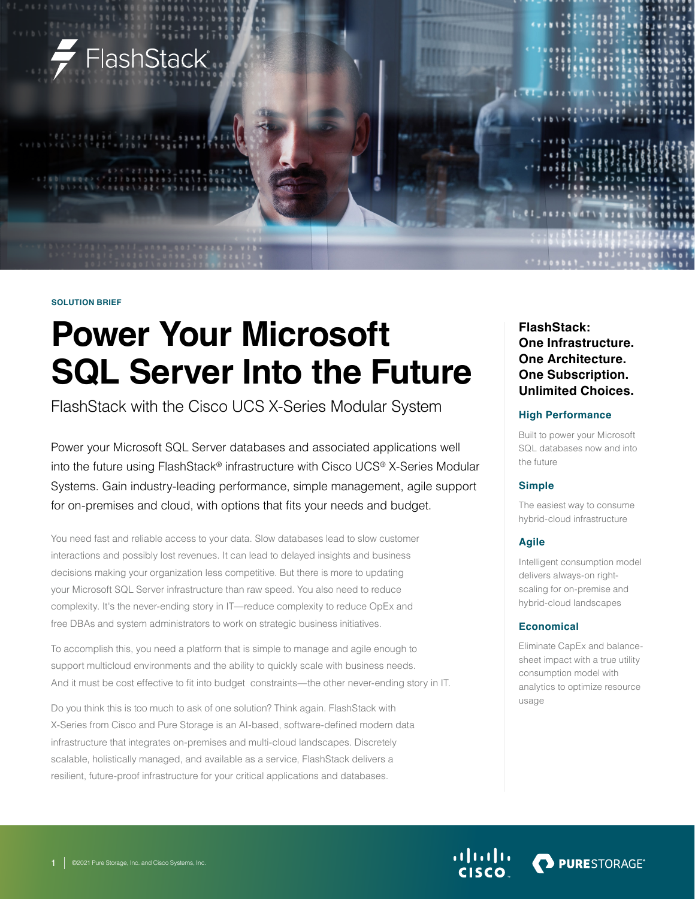

#### **SOLUTION BRIEF**

# **Power Your Microsoft SQL Server Into the Future**

FlashStack with the Cisco UCS X-Series Modular System

Power your Microsoft SQL Server databases and associated applications well into the future using FlashStack® infrastructure with Cisco UCS® X-Series Modular Systems. Gain industry-leading performance, simple management, agile support for on-premises and cloud, with options that fits your needs and budget.

You need fast and reliable access to your data. Slow databases lead to slow customer interactions and possibly lost revenues. It can lead to delayed insights and business decisions making your organization less competitive. But there is more to updating your Microsoft SQL Server infrastructure than raw speed. You also need to reduce complexity. It's the never-ending story in IT—reduce complexity to reduce OpEx and free DBAs and system administrators to work on strategic business initiatives.

To accomplish this, you need a platform that is simple to manage and agile enough to support multicloud environments and the ability to quickly scale with business needs. And it must be cost effective to fit into budget constraints—the other never-ending story in IT.

Do you think this is too much to ask of one solution? Think again. FlashStack with X-Series from Cisco and Pure Storage is an AI-based, software-defined modern data infrastructure that integrates on-premises and multi-cloud landscapes. Discretely scalable, holistically managed, and available as a service, FlashStack delivers a resilient, future-proof infrastructure for your critical applications and databases.

## **FlashStack: One Infrastructure. One Architecture. One Subscription. Unlimited Choices.**

### **High Performance**

Built to power your Microsoft SQL databases now and into the future

## **Simple**

The easiest way to consume hybrid-cloud infrastructure

## **Agile**

Intelligent consumption model delivers always-on rightscaling for on-premise and hybrid-cloud landscapes

## **Economical**

Eliminate CapEx and balancesheet impact with a true utility consumption model with analytics to optimize resource usage

**PURESTORAGE®**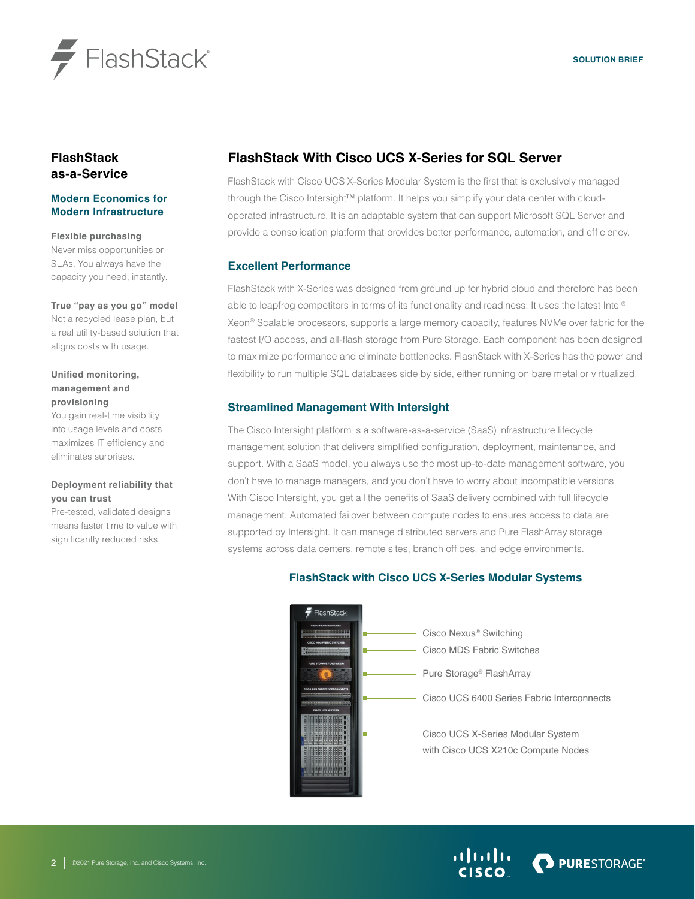



## **FlashStack as-a-Service**

## **Modern Economics for Modern Infrastructure**

**Flexible purchasing**

Never miss opportunities or SLAs. You always have the capacity you need, instantly.

#### **True "pay as you go" model**

Not a recycled lease plan, but a real utility-based solution that aligns costs with usage.

## **Unified monitoring, management and provisioning**

You gain real-time visibility into usage levels and costs maximizes IT efficiency and eliminates surprises.

## **Deployment reliability that you can trust**

Pre-tested, validated designs means faster time to value with significantly reduced risks.

## **FlashStack With Cisco UCS X-Series for SQL Server**

FlashStack with Cisco UCS X-Series Modular System is the first that is exclusively managed through the Cisco Intersight™ platform. It helps you simplify your data center with cloudoperated infrastructure. It is an adaptable system that can support Microsoft SQL Server and provide a consolidation platform that provides better performance, automation, and efficiency.

## **Excellent Performance**

FlashStack with X-Series was designed from ground up for hybrid cloud and therefore has been able to leapfrog competitors in terms of its functionality and readiness. It uses the latest Intel® Xeon® Scalable processors, supports a large memory capacity, features NVMe over fabric for the fastest I/O access, and all-flash storage from Pure Storage. Each component has been designed to maximize performance and eliminate bottlenecks. FlashStack with X-Series has the power and flexibility to run multiple SQL databases side by side, either running on bare metal or virtualized.

## **Streamlined Management With Intersight**

The Cisco Intersight platform is a software-as-a-service (SaaS) infrastructure lifecycle management solution that delivers simplified configuration, deployment, maintenance, and support. With a SaaS model, you always use the most up-to-date management software, you don't have to manage managers, and you don't have to worry about incompatible versions. With Cisco Intersight, you get all the benefits of SaaS delivery combined with full lifecycle management. Automated failover between compute nodes to ensures access to data are supported by Intersight. It can manage distributed servers and Pure FlashArray storage systems across data centers, remote sites, branch offices, and edge environments.

## **FlashStack with Cisco UCS X-Series Modular Systems**



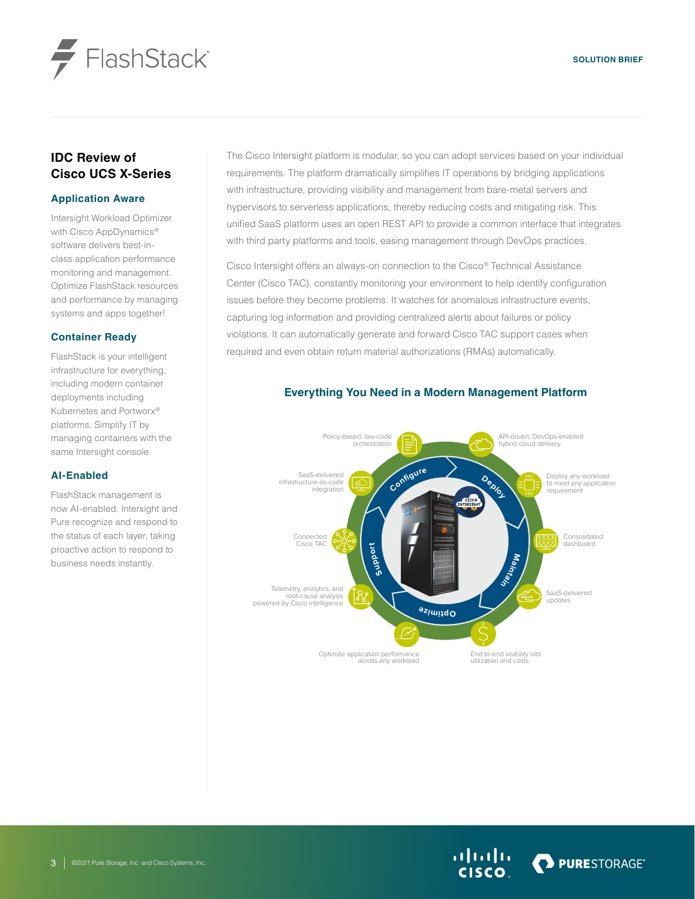

## **IDC Review of Cisco UCS X-Series**

### **Application Aware**

Intersight Workload Optimizer with Cisco AppDynamics<sup>®</sup> software delivers best-inclass application performance monitoring and management. Optimize FlashStack resources and performance by managing systems and apps together!

### **Container Ready**

FlashStack is your intelligent infrastructure for everything, including modern container deployments including Kubernetes and Portworx® platforms. Simplify IT by managing containers with the same Intersight console.

## **AI-Enabled**

FlashStack management is now AI-enabled. Intersight and Pure recognize and respond to the status of each layer, taking proactive action to respond to business needs instantly.

The Cisco Intersight platform is modular, so you can adopt services based on your individual requirements. The platform dramatically simplifies IT operations by bridging applications with infrastructure, providing visibility and management from bare-metal servers and hypervisors to serverless applications, thereby reducing costs and mitigating risk. This unified SaaS platform uses an open REST API to provide a common interface that integrates with third party platforms and tools, easing management through DevOps practices.

Cisco Intersight offers an always-on connection to the Cisco® Technical Assistance Center (Cisco TAC), constantly monitoring your environment to help identify configuration issues before they become problems. It watches for anomalous infrastructure events, capturing log information and providing centralized alerts about failures or policy violations. It can automatically generate and forward Cisco TAC support cases when required and even obtain return material authorizations (RMAs) automatically.

#### **Configur<sup>e</sup> Deploy Ma h**<br>**h**<sub>5</sub> **<sup>e</sup>z<sup>i</sup> <sup>m</sup>i<sup>t</sup> <sup>p</sup> <sup>O</sup> Su pport** Connected Cisco TAC Telemetry, analytics, and root-cause analysis powered by Cisco intelligence Optimize application performance across any workload End-to-end visibility into utilization and costs SaaS-delivered infrastructure-as-code integration Policy-based, low-code orchestration SaaS-delivered updates Consolidated dashboard Deploy any workload to meet any application requirement API-driven, DevOps-enabled hybrid cloud delivery

## **Everything You Need in a Modern Management Platform**